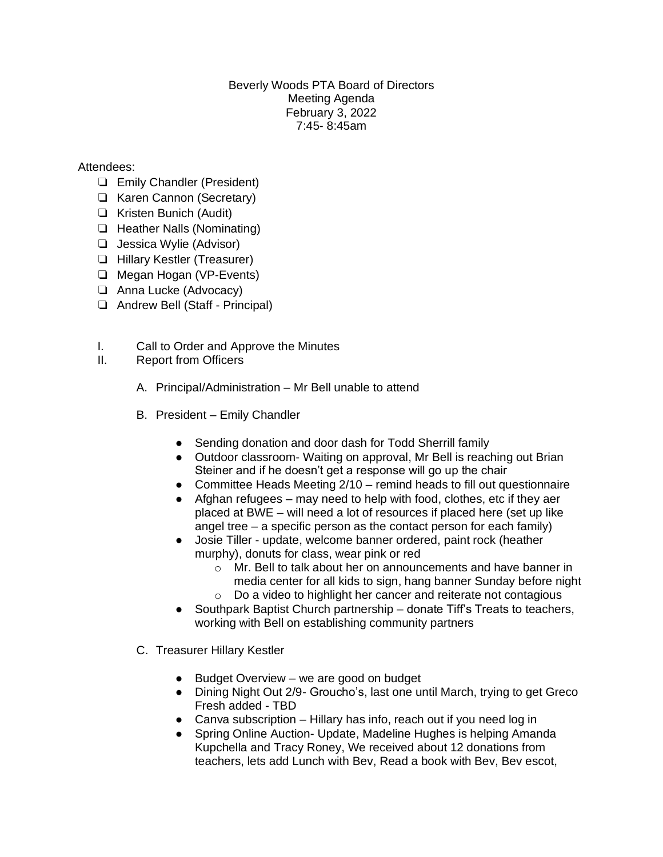## Beverly Woods PTA Board of Directors Meeting Agenda February 3, 2022 7:45- 8:45am

## Attendees:

- ❏ Emily Chandler (President)
- ❏ Karen Cannon (Secretary)
- ❏ Kristen Bunich (Audit)
- ❏ Heather Nalls (Nominating)
- ❏ Jessica Wylie (Advisor)
- ❏ Hillary Kestler (Treasurer)
- ❏ Megan Hogan (VP-Events)
- ❏ Anna Lucke (Advocacy)
- ❏ Andrew Bell (Staff Principal)
- I. Call to Order and Approve the Minutes
- II. Report from Officers
	- A. Principal/Administration Mr Bell unable to attend
	- B. President Emily Chandler
		- Sending donation and door dash for Todd Sherrill family
		- Outdoor classroom- Waiting on approval, Mr Bell is reaching out Brian Steiner and if he doesn't get a response will go up the chair
		- Committee Heads Meeting 2/10 remind heads to fill out questionnaire
		- Afghan refugees may need to help with food, clothes, etc if they aer placed at BWE – will need a lot of resources if placed here (set up like angel tree – a specific person as the contact person for each family)
		- Josie Tiller update, welcome banner ordered, paint rock (heather murphy), donuts for class, wear pink or red
			- o Mr. Bell to talk about her on announcements and have banner in media center for all kids to sign, hang banner Sunday before night
			- o Do a video to highlight her cancer and reiterate not contagious
		- Southpark Baptist Church partnership donate Tiff's Treats to teachers, working with Bell on establishing community partners
	- C. Treasurer Hillary Kestler
		- Budget Overview we are good on budget
		- Dining Night Out 2/9- Groucho's, last one until March, trying to get Greco Fresh added - TBD
		- $\bullet$  Canva subscription Hillary has info, reach out if you need log in
		- Spring Online Auction- Update, Madeline Hughes is helping Amanda Kupchella and Tracy Roney, We received about 12 donations from teachers, lets add Lunch with Bev, Read a book with Bev, Bev escot,